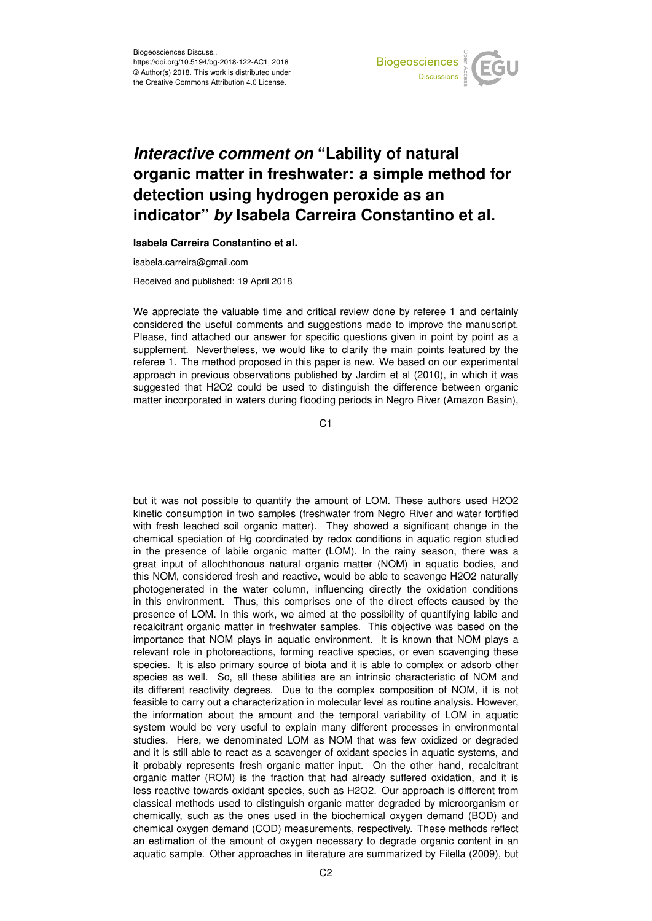

## *Interactive comment on* **"Lability of natural organic matter in freshwater: a simple method for detection using hydrogen peroxide as an indicator"** *by* **Isabela Carreira Constantino et al.**

**Isabela Carreira Constantino et al.**

isabela.carreira@gmail.com

Received and published: 19 April 2018

We appreciate the valuable time and critical review done by referee 1 and certainly considered the useful comments and suggestions made to improve the manuscript. Please, find attached our answer for specific questions given in point by point as a supplement. Nevertheless, we would like to clarify the main points featured by the referee 1. The method proposed in this paper is new. We based on our experimental approach in previous observations published by Jardim et al (2010), in which it was suggested that H2O2 could be used to distinguish the difference between organic matter incorporated in waters during flooding periods in Negro River (Amazon Basin),

 $C<sub>1</sub>$ 

but it was not possible to quantify the amount of LOM. These authors used H2O2 kinetic consumption in two samples (freshwater from Negro River and water fortified with fresh leached soil organic matter). They showed a significant change in the chemical speciation of Hg coordinated by redox conditions in aquatic region studied in the presence of labile organic matter (LOM). In the rainy season, there was a great input of allochthonous natural organic matter (NOM) in aquatic bodies, and this NOM, considered fresh and reactive, would be able to scavenge H2O2 naturally photogenerated in the water column, influencing directly the oxidation conditions in this environment. Thus, this comprises one of the direct effects caused by the presence of LOM. In this work, we aimed at the possibility of quantifying labile and recalcitrant organic matter in freshwater samples. This objective was based on the importance that NOM plays in aquatic environment. It is known that NOM plays a relevant role in photoreactions, forming reactive species, or even scavenging these species. It is also primary source of biota and it is able to complex or adsorb other species as well. So, all these abilities are an intrinsic characteristic of NOM and its different reactivity degrees. Due to the complex composition of NOM, it is not feasible to carry out a characterization in molecular level as routine analysis. However, the information about the amount and the temporal variability of LOM in aquatic system would be very useful to explain many different processes in environmental studies. Here, we denominated LOM as NOM that was few oxidized or degraded and it is still able to react as a scavenger of oxidant species in aquatic systems, and it probably represents fresh organic matter input. On the other hand, recalcitrant organic matter (ROM) is the fraction that had already suffered oxidation, and it is less reactive towards oxidant species, such as H2O2. Our approach is different from classical methods used to distinguish organic matter degraded by microorganism or chemically, such as the ones used in the biochemical oxygen demand (BOD) and chemical oxygen demand (COD) measurements, respectively. These methods reflect an estimation of the amount of oxygen necessary to degrade organic content in an aquatic sample. Other approaches in literature are summarized by Filella (2009), but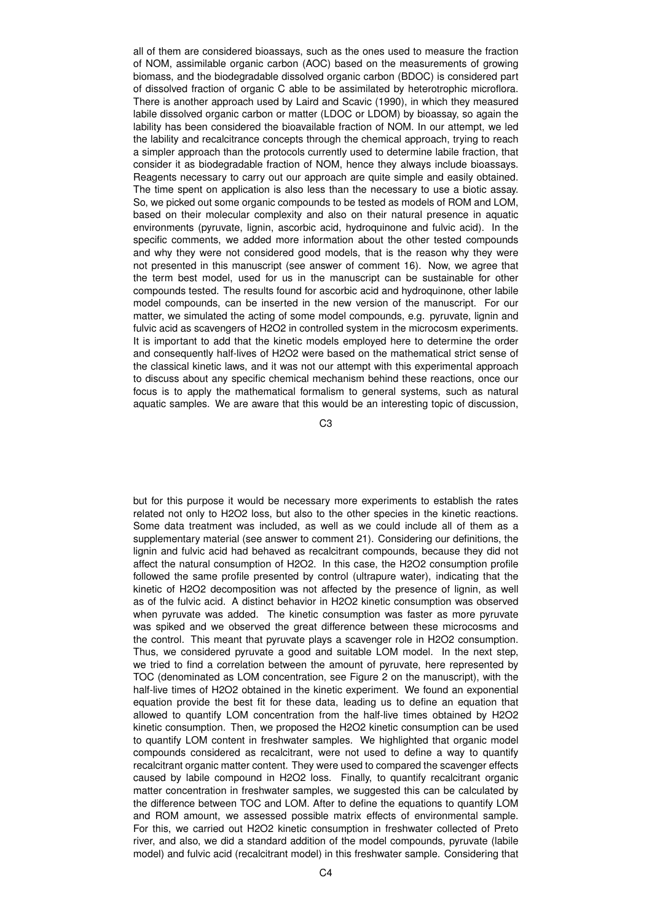all of them are considered bioassays, such as the ones used to measure the fraction of NOM, assimilable organic carbon (AOC) based on the measurements of growing biomass, and the biodegradable dissolved organic carbon (BDOC) is considered part of dissolved fraction of organic C able to be assimilated by heterotrophic microflora. There is another approach used by Laird and Scavic (1990), in which they measured labile dissolved organic carbon or matter (LDOC or LDOM) by bioassay, so again the lability has been considered the bioavailable fraction of NOM. In our attempt, we led the lability and recalcitrance concepts through the chemical approach, trying to reach a simpler approach than the protocols currently used to determine labile fraction, that consider it as biodegradable fraction of NOM, hence they always include bioassays. Reagents necessary to carry out our approach are quite simple and easily obtained. The time spent on application is also less than the necessary to use a biotic assay. So, we picked out some organic compounds to be tested as models of ROM and LOM, based on their molecular complexity and also on their natural presence in aquatic environments (pyruvate, lignin, ascorbic acid, hydroquinone and fulvic acid). In the specific comments, we added more information about the other tested compounds and why they were not considered good models, that is the reason why they were not presented in this manuscript (see answer of comment 16). Now, we agree that the term best model, used for us in the manuscript can be sustainable for other compounds tested. The results found for ascorbic acid and hydroquinone, other labile model compounds, can be inserted in the new version of the manuscript. For our matter, we simulated the acting of some model compounds, e.g. pyruvate, lignin and fulvic acid as scavengers of H2O2 in controlled system in the microcosm experiments. It is important to add that the kinetic models employed here to determine the order and consequently half-lives of H2O2 were based on the mathematical strict sense of the classical kinetic laws, and it was not our attempt with this experimental approach to discuss about any specific chemical mechanism behind these reactions, once our focus is to apply the mathematical formalism to general systems, such as natural aquatic samples. We are aware that this would be an interesting topic of discussion,

C3

but for this purpose it would be necessary more experiments to establish the rates related not only to H2O2 loss, but also to the other species in the kinetic reactions. Some data treatment was included, as well as we could include all of them as a supplementary material (see answer to comment 21). Considering our definitions, the lignin and fulvic acid had behaved as recalcitrant compounds, because they did not affect the natural consumption of H2O2. In this case, the H2O2 consumption profile followed the same profile presented by control (ultrapure water), indicating that the kinetic of H2O2 decomposition was not affected by the presence of lignin, as well as of the fulvic acid. A distinct behavior in H2O2 kinetic consumption was observed when pyruvate was added. The kinetic consumption was faster as more pyruvate was spiked and we observed the great difference between these microcosms and the control. This meant that pyruvate plays a scavenger role in H2O2 consumption. Thus, we considered pyruvate a good and suitable LOM model. In the next step, we tried to find a correlation between the amount of pyruvate, here represented by TOC (denominated as LOM concentration, see Figure 2 on the manuscript), with the half-live times of H2O2 obtained in the kinetic experiment. We found an exponential equation provide the best fit for these data, leading us to define an equation that allowed to quantify LOM concentration from the half-live times obtained by H2O2 kinetic consumption. Then, we proposed the H2O2 kinetic consumption can be used to quantify LOM content in freshwater samples. We highlighted that organic model compounds considered as recalcitrant, were not used to define a way to quantify recalcitrant organic matter content. They were used to compared the scavenger effects caused by labile compound in H2O2 loss. Finally, to quantify recalcitrant organic matter concentration in freshwater samples, we suggested this can be calculated by the difference between TOC and LOM. After to define the equations to quantify LOM and ROM amount, we assessed possible matrix effects of environmental sample. For this, we carried out H2O2 kinetic consumption in freshwater collected of Preto river, and also, we did a standard addition of the model compounds, pyruvate (labile model) and fulvic acid (recalcitrant model) in this freshwater sample. Considering that